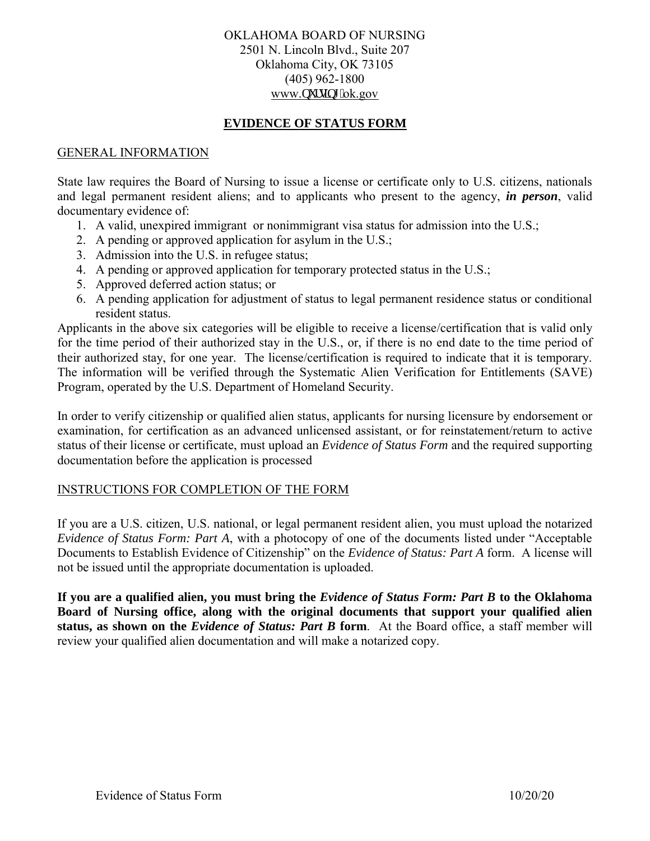# OKLAHOMA BOARD OF NURSING 2501 N. Lincoln Blvd., Suite 207 Oklahoma City, OK 73105 (405) 962-1800 www.pwtukpi 0ok.gov

# **EVIDENCE OF STATUS FORM**

### GENERAL INFORMATION

State law requires the Board of Nursing to issue a license or certificate only to U.S. citizens, nationals and legal permanent resident aliens; and to applicants who present to the agency, *in person*, valid documentary evidence of:

- 1. A valid, unexpired immigrant or nonimmigrant visa status for admission into the U.S.;
- 2. A pending or approved application for asylum in the U.S.;
- 3. Admission into the U.S. in refugee status;
- 4. A pending or approved application for temporary protected status in the U.S.;
- 5. Approved deferred action status; or
- 6. A pending application for adjustment of status to legal permanent residence status or conditional resident status.

Applicants in the above six categories will be eligible to receive a license/certification that is valid only for the time period of their authorized stay in the U.S., or, if there is no end date to the time period of their authorized stay, for one year. The license/certification is required to indicate that it is temporary. The information will be verified through the Systematic Alien Verification for Entitlements (SAVE) Program, operated by the U.S. Department of Homeland Security.

In order to verify citizenship or qualified alien status, applicants for nursing licensure by endorsement or examination, for certification as an advanced unlicensed assistant, or for reinstatement/return to active status of their license or certificate, must upload an *Evidence of Status Form* and the required supporting documentation before the application is processed

# INSTRUCTIONS FOR COMPLETION OF THE FORM

If you are a U.S. citizen, U.S. national, or legal permanent resident alien, you must upload the notarized *Evidence of Status Form: Part A*, with a photocopy of one of the documents listed under "Acceptable Documents to Establish Evidence of Citizenship" on the *Evidence of Status: Part A* form. A license will not be issued until the appropriate documentation is uploaded.

**If you are a qualified alien, you must bring the** *Evidence of Status Form: Part B* **to the Oklahoma Board of Nursing office, along with the original documents that support your qualified alien status, as shown on the** *Evidence of Status: Part B* **form**. At the Board office, a staff member will review your qualified alien documentation and will make a notarized copy.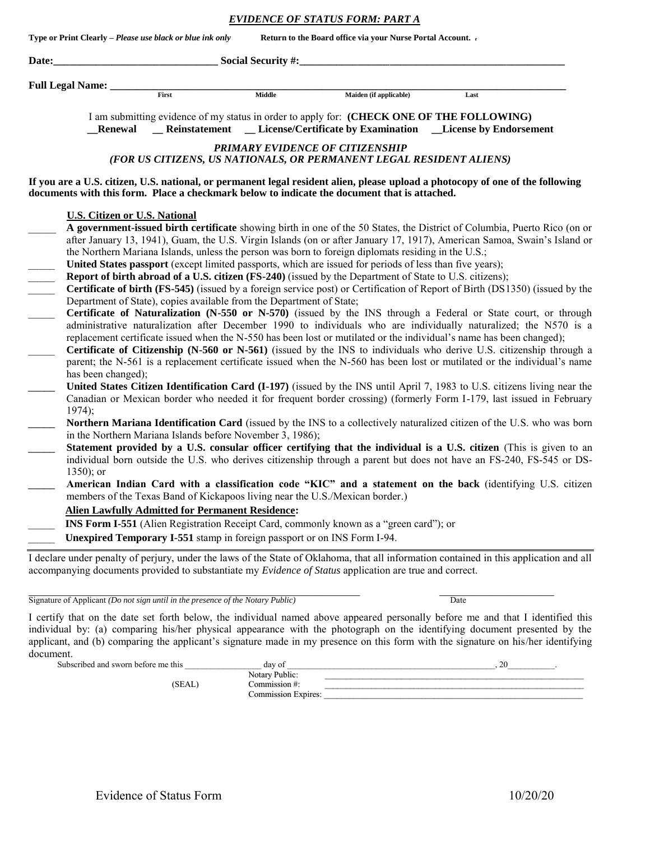*EVIDENCE OF STATUS FORM: PART A*

|       |                                      | Type or Print Clearly - Please use black or blue ink only                |               | Return to the Board office via your Nurse Portal Account. -                                                                                                                                                                                                                                                                |                                                                                                                                                                                                                                                                                                                                                                                                                                                                                                                                                                                                                                                                                                                                                                                                                                                                                                                                                                                                                                                                                                                                     |  |  |
|-------|--------------------------------------|--------------------------------------------------------------------------|---------------|----------------------------------------------------------------------------------------------------------------------------------------------------------------------------------------------------------------------------------------------------------------------------------------------------------------------------|-------------------------------------------------------------------------------------------------------------------------------------------------------------------------------------------------------------------------------------------------------------------------------------------------------------------------------------------------------------------------------------------------------------------------------------------------------------------------------------------------------------------------------------------------------------------------------------------------------------------------------------------------------------------------------------------------------------------------------------------------------------------------------------------------------------------------------------------------------------------------------------------------------------------------------------------------------------------------------------------------------------------------------------------------------------------------------------------------------------------------------------|--|--|
| Date: | <b>Social Security #:_</b>           |                                                                          |               |                                                                                                                                                                                                                                                                                                                            |                                                                                                                                                                                                                                                                                                                                                                                                                                                                                                                                                                                                                                                                                                                                                                                                                                                                                                                                                                                                                                                                                                                                     |  |  |
|       | <b>Full Legal Name:</b>              |                                                                          |               |                                                                                                                                                                                                                                                                                                                            |                                                                                                                                                                                                                                                                                                                                                                                                                                                                                                                                                                                                                                                                                                                                                                                                                                                                                                                                                                                                                                                                                                                                     |  |  |
|       |                                      | First                                                                    | <b>Middle</b> | Maiden (if applicable)                                                                                                                                                                                                                                                                                                     | Last                                                                                                                                                                                                                                                                                                                                                                                                                                                                                                                                                                                                                                                                                                                                                                                                                                                                                                                                                                                                                                                                                                                                |  |  |
|       | Renewal                              | <b>Reinstatement</b>                                                     |               | <b>License/Certificate by Examination</b>                                                                                                                                                                                                                                                                                  | I am submitting evidence of my status in order to apply for: (CHECK ONE OF THE FOLLOWING)<br><b>License by Endorsement</b>                                                                                                                                                                                                                                                                                                                                                                                                                                                                                                                                                                                                                                                                                                                                                                                                                                                                                                                                                                                                          |  |  |
|       |                                      |                                                                          |               | PRIMARY EVIDENCE OF CITIZENSHIP<br>(FOR US CITIZENS, US NATIONALS, OR PERMANENT LEGAL RESIDENT ALIENS)                                                                                                                                                                                                                     |                                                                                                                                                                                                                                                                                                                                                                                                                                                                                                                                                                                                                                                                                                                                                                                                                                                                                                                                                                                                                                                                                                                                     |  |  |
|       |                                      |                                                                          |               | documents with this form. Place a checkmark below to indicate the document that is attached.                                                                                                                                                                                                                               | If you are a U.S. citizen, U.S. national, or permanent legal resident alien, please upload a photocopy of one of the following                                                                                                                                                                                                                                                                                                                                                                                                                                                                                                                                                                                                                                                                                                                                                                                                                                                                                                                                                                                                      |  |  |
|       | <b>U.S. Citizen or U.S. National</b> |                                                                          |               |                                                                                                                                                                                                                                                                                                                            |                                                                                                                                                                                                                                                                                                                                                                                                                                                                                                                                                                                                                                                                                                                                                                                                                                                                                                                                                                                                                                                                                                                                     |  |  |
|       | has been changed);                   | Department of State), copies available from the Department of State;     |               | the Northern Mariana Islands, unless the person was born to foreign diplomats residing in the U.S.;<br>United States passport (except limited passports, which are issued for periods of less than five years);<br>Report of birth abroad of a U.S. citizen (FS-240) (issued by the Department of State to U.S. citizens); | A government-issued birth certificate showing birth in one of the 50 States, the District of Columbia, Puerto Rico (on or<br>after January 13, 1941), Guam, the U.S. Virgin Islands (on or after January 17, 1917), American Samoa, Swain's Island or<br>Certificate of birth (FS-545) (issued by a foreign service post) or Certification of Report of Birth (DS1350) (issued by the<br>Certificate of Naturalization (N-550 or N-570) (issued by the INS through a Federal or State court, or through<br>administrative naturalization after December 1990 to individuals who are individually naturalized; the N570 is a<br>replacement certificate issued when the N-550 has been lost or mutilated or the individual's name has been changed);<br>Certificate of Citizenship (N-560 or N-561) (issued by the INS to individuals who derive U.S. citizenship through a<br>parent; the N-561 is a replacement certificate issued when the N-560 has been lost or mutilated or the individual's name<br>United States Citizen Identification Card (I-197) (issued by the INS until April 7, 1983 to U.S. citizens living near the |  |  |
|       | 1974);                               | in the Northern Mariana Islands before November 3, 1986);                |               |                                                                                                                                                                                                                                                                                                                            | Canadian or Mexican border who needed it for frequent border crossing) (formerly Form I-179, last issued in February<br>Northern Mariana Identification Card (issued by the INS to a collectively naturalized citizen of the U.S. who was born                                                                                                                                                                                                                                                                                                                                                                                                                                                                                                                                                                                                                                                                                                                                                                                                                                                                                      |  |  |
|       | 1350); or                            |                                                                          |               |                                                                                                                                                                                                                                                                                                                            | Statement provided by a U.S. consular officer certifying that the individual is a U.S. citizen (This is given to an<br>individual born outside the U.S. who derives citizenship through a parent but does not have an FS-240, FS-545 or DS-                                                                                                                                                                                                                                                                                                                                                                                                                                                                                                                                                                                                                                                                                                                                                                                                                                                                                         |  |  |
|       |                                      |                                                                          |               | members of the Texas Band of Kickapoos living near the U.S./Mexican border.)                                                                                                                                                                                                                                               | American Indian Card with a classification code "KIC" and a statement on the back (identifying U.S. citizen                                                                                                                                                                                                                                                                                                                                                                                                                                                                                                                                                                                                                                                                                                                                                                                                                                                                                                                                                                                                                         |  |  |
|       |                                      | <b>Alien Lawfully Admitted for Permanent Residence:</b>                  |               | <b>INS Form I-551</b> (Alien Registration Receipt Card, commonly known as a "green card"); or                                                                                                                                                                                                                              |                                                                                                                                                                                                                                                                                                                                                                                                                                                                                                                                                                                                                                                                                                                                                                                                                                                                                                                                                                                                                                                                                                                                     |  |  |
|       |                                      | Unexpired Temporary I-551 stamp in foreign passport or on INS Form I-94. |               |                                                                                                                                                                                                                                                                                                                            |                                                                                                                                                                                                                                                                                                                                                                                                                                                                                                                                                                                                                                                                                                                                                                                                                                                                                                                                                                                                                                                                                                                                     |  |  |
|       |                                      |                                                                          |               | accompanying documents provided to substantiate my Evidence of Status application are true and correct.                                                                                                                                                                                                                    | I declare under penalty of perjury, under the laws of the State of Oklahoma, that all information contained in this application and all                                                                                                                                                                                                                                                                                                                                                                                                                                                                                                                                                                                                                                                                                                                                                                                                                                                                                                                                                                                             |  |  |

 $\mathcal{L}_\text{max}$  , and the contribution of the contribution of the contribution of the contribution of the contribution of the contribution of the contribution of the contribution of the contribution of the contribution of t Signature of Applicant *(Do not sign until in the presence of the Notary Public)* Date

I certify that on the date set forth below, the individual named above appeared personally before me and that I identified this individual by: (a) comparing his/her physical appearance with the photograph on the identifying document presented by the applicant, and (b) comparing the applicant's signature made in my presence on this form with the signature on his/her identifying document.<br>Subscribed and sworn before me this

Subscribed and sworn before me this \_\_\_\_\_\_\_\_\_\_\_\_\_\_\_\_\_\_ day of \_\_\_\_\_\_\_\_\_\_\_\_\_\_\_\_\_\_\_\_\_\_\_\_\_\_\_\_\_\_\_\_\_\_\_\_\_\_\_\_\_\_\_\_\_\_\_\_\_, 20\_\_\_\_\_\_\_\_\_\_\_. Notary Public: \_\_\_\_\_\_\_\_\_\_\_\_\_\_\_\_\_\_\_\_\_\_\_\_\_\_\_\_\_\_\_\_\_\_\_\_\_\_\_\_\_\_\_\_\_\_\_\_\_\_\_\_\_\_\_\_\_\_\_\_\_  $(SEAL)$  Commission #:  $\qquad \qquad$ Commission Expires: \_\_\_\_\_\_\_\_\_\_\_\_\_\_\_\_\_\_\_\_\_\_\_\_\_\_\_\_\_\_\_\_\_\_\_\_\_\_\_\_\_\_\_\_\_\_\_\_\_\_\_\_\_\_\_\_\_\_\_\_\_